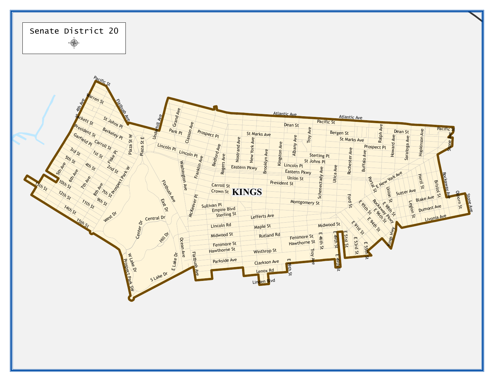